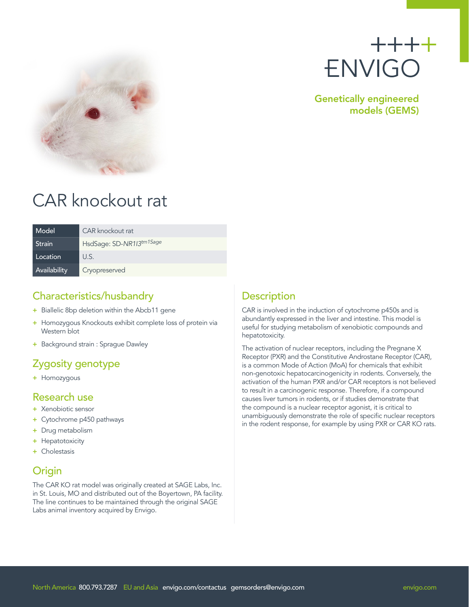



Genetically engineered models (GEMS)

# CAR knockout rat

| Model        | CAR knockout rat         |
|--------------|--------------------------|
| Strain       | HsdSage: SD-NR113tm1Sage |
| Location     | U.S.                     |
| Availability | Cryopreserved            |

### Characteristics/husbandry

- + Biallelic 8bp deletion within the Abcb11 gene
- + Homozygous Knockouts exhibit complete loss of protein via Western blot
- + Background strain : Sprague Dawley

# Zygosity genotype

+ Homozygous

#### Research use

- + Xenobiotic sensor
- + Cytochrome p450 pathways
- + Drug metabolism
- + Hepatotoxicity
- + Cholestasis

# Origin

The CAR KO rat model was originally created at SAGE Labs, Inc. in St. Louis, MO and distributed out of the Boyertown, PA facility. The line continues to be maintained through the original SAGE Labs animal inventory acquired by Envigo.

# **Description**

CAR is involved in the induction of cytochrome p450s and is abundantly expressed in the liver and intestine. This model is useful for studying metabolism of xenobiotic compounds and hepatotoxicity.

The activation of nuclear receptors, including the Pregnane X Receptor (PXR) and the Constitutive Androstane Receptor (CAR), is a common Mode of Action (MoA) for chemicals that exhibit non-genotoxic hepatocarcinogenicity in rodents. Conversely, the activation of the human PXR and/or CAR receptors is not believed to result in a carcinogenic response. Therefore, if a compound causes liver tumors in rodents, or if studies demonstrate that the compound is a nuclear receptor agonist, it is critical to unambiguously demonstrate the role of specific nuclear receptors in the rodent response, for example by using PXR or CAR KO rats.